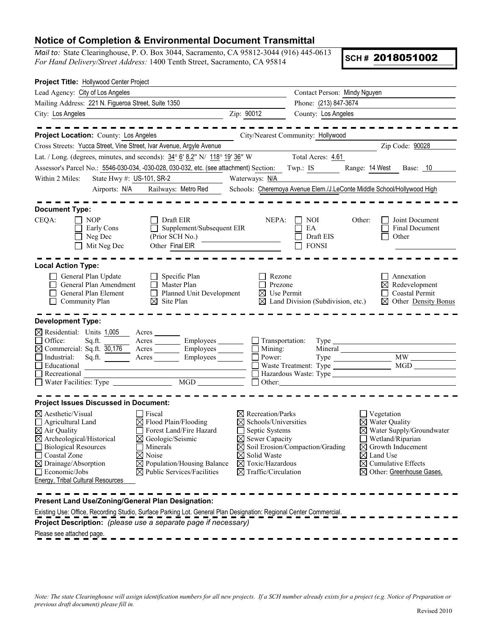## **Notice of Completion & Environmental Document Transmittal**

*Mail to:* State Clearinghouse, P. O. Box 3044, Sacramento, CA 95812-3044 (916) 445-0613 *For Hand Delivery/Street Address:* 1400 Tenth Street, Sacramento, CA 95814

**SCH #** 2018051002

| Project Title: Hollywood Center Project                                                                                                                                                                                                                                                                                                                                                                                                                                                                                                                                                                                                                                                               |                                                                                                                                                                                                               |                                               |                                                                                                                                                                                                                                   |
|-------------------------------------------------------------------------------------------------------------------------------------------------------------------------------------------------------------------------------------------------------------------------------------------------------------------------------------------------------------------------------------------------------------------------------------------------------------------------------------------------------------------------------------------------------------------------------------------------------------------------------------------------------------------------------------------------------|---------------------------------------------------------------------------------------------------------------------------------------------------------------------------------------------------------------|-----------------------------------------------|-----------------------------------------------------------------------------------------------------------------------------------------------------------------------------------------------------------------------------------|
| Lead Agency: City of Los Angeles                                                                                                                                                                                                                                                                                                                                                                                                                                                                                                                                                                                                                                                                      | Contact Person: Mindy Nguyen                                                                                                                                                                                  |                                               |                                                                                                                                                                                                                                   |
| Mailing Address: 221 N. Figueroa Street, Suite 1350                                                                                                                                                                                                                                                                                                                                                                                                                                                                                                                                                                                                                                                   |                                                                                                                                                                                                               | Phone: (213) 847-3674                         |                                                                                                                                                                                                                                   |
| City: Los Angeles<br><u> 1980 - Johann Barbara, martin amerikan basar da</u>                                                                                                                                                                                                                                                                                                                                                                                                                                                                                                                                                                                                                          | Zip: 90012<br>County: Los Angeles                                                                                                                                                                             |                                               |                                                                                                                                                                                                                                   |
|                                                                                                                                                                                                                                                                                                                                                                                                                                                                                                                                                                                                                                                                                                       |                                                                                                                                                                                                               |                                               |                                                                                                                                                                                                                                   |
| Project Location: County: Los Angeles                                                                                                                                                                                                                                                                                                                                                                                                                                                                                                                                                                                                                                                                 |                                                                                                                                                                                                               | City/Nearest Community: Hollywood             |                                                                                                                                                                                                                                   |
| Cross Streets: Yucca Street, Vine Street, Ivar Avenue, Argyle Avenue                                                                                                                                                                                                                                                                                                                                                                                                                                                                                                                                                                                                                                  |                                                                                                                                                                                                               |                                               | Zip Code: 90028                                                                                                                                                                                                                   |
| Lat. / Long. (degrees, minutes, and seconds): $34^{\circ}$ 6' 8.2" N/ 118° 19' 36" W                                                                                                                                                                                                                                                                                                                                                                                                                                                                                                                                                                                                                  |                                                                                                                                                                                                               | Total Acres: 4.61                             |                                                                                                                                                                                                                                   |
| Assessor's Parcel No.: 5546-030-034, -030-028, 030-032, etc. (see attachment) Section: Twp.: IS                                                                                                                                                                                                                                                                                                                                                                                                                                                                                                                                                                                                       |                                                                                                                                                                                                               |                                               | Range: 14 West Base: 10                                                                                                                                                                                                           |
| Within 2 Miles:<br>State Hwy #: US-101, SR-2                                                                                                                                                                                                                                                                                                                                                                                                                                                                                                                                                                                                                                                          | Waterways: N/A                                                                                                                                                                                                |                                               |                                                                                                                                                                                                                                   |
| Airports: N/A Railways: Metro Red                                                                                                                                                                                                                                                                                                                                                                                                                                                                                                                                                                                                                                                                     |                                                                                                                                                                                                               |                                               | Schools: Cheremoya Avenue Elem./J.LeConte Middle School/Hollywood High                                                                                                                                                            |
|                                                                                                                                                                                                                                                                                                                                                                                                                                                                                                                                                                                                                                                                                                       |                                                                                                                                                                                                               |                                               |                                                                                                                                                                                                                                   |
| <b>Document Type:</b><br>CEQA:<br><b>NOP</b><br>$\Box$ Draft EIR<br>$\Box$ Supplement/Subsequent EIR<br>Early Cons<br>Neg Dec<br>(Prior SCH No.)<br>Other Final EIR<br>Mit Neg Dec                                                                                                                                                                                                                                                                                                                                                                                                                                                                                                                    | NEPA:                                                                                                                                                                                                         | NOI -<br>EA<br>Draft EIS<br><b>FONSI</b>      | Other:<br>Joint Document<br>Final Document<br>Other                                                                                                                                                                               |
| <b>Local Action Type:</b>                                                                                                                                                                                                                                                                                                                                                                                                                                                                                                                                                                                                                                                                             |                                                                                                                                                                                                               |                                               |                                                                                                                                                                                                                                   |
| General Plan Update<br>Specific Plan<br>$\perp$<br>General Plan Amendment<br>Master Plan<br>General Plan Element<br>Planned Unit Development<br>$\perp$<br>Community Plan<br>$\boxtimes$ Site Plan<br><b>Development Type:</b><br>$\boxtimes$ Residential: Units 1,005<br>Acres<br>□ Office:<br>Sq.ft.<br>Acres Employees<br>$\boxtimes$ Commercial: Sq.ft. $\overline{30,176}$ Acres ________ Employees _______<br>$\Box$ Industrial:<br>Sq.ft. _________ Acres ________ Employees _______<br>Educational<br><u> 1980 - Johann Barn, mars ann an t-Amhain Aonaich an t-Aonaich an t-Aonaich ann an t-Aonaich ann an t-Aonaich</u><br>Recreational                                                    | Rezone<br>Prezone<br>$\boxtimes$ Use Permit<br>$\Box$ Transportation:<br>$\Box$ Mining:<br>Power:                                                                                                             | $\boxtimes$ Land Division (Subdivision, etc.) | Annexation<br>$\boxtimes$ Redevelopment<br><b>Coastal Permit</b><br>⊠ Other Density Bonus<br>Waste Treatment: Type MGD                                                                                                            |
|                                                                                                                                                                                                                                                                                                                                                                                                                                                                                                                                                                                                                                                                                                       |                                                                                                                                                                                                               |                                               |                                                                                                                                                                                                                                   |
| <b>Project Issues Discussed in Document:</b><br>⊠ Aesthetic/Visual<br>$\Box$ Fiscal<br>Agricultural Land<br>$\boxtimes$ Flood Plain/Flooding<br>$\boxtimes$ Air Quality<br>Forest Land/Fire Hazard<br>⊠ Archeological/Historical<br>⊠ Geologic/Seismic<br><b>Biological Resources</b><br>Minerals<br>$\boxtimes$ Noise<br>Coastal Zone<br>$\boxtimes$ Drainage/Absorption<br>$\boxtimes$ Population/Housing Balance<br>$\boxtimes$ Public Services/Facilities<br>$\Box$ Economic/Jobs<br>Energy, Tribal Cultural Resources<br>Present Land Use/Zoning/General Plan Designation:<br>Existing Use: Office, Recording Studio, Surface Parking Lot. General Plan Designation: Regional Center Commercial. | $\boxtimes$ Recreation/Parks<br>$\boxtimes$ Schools/Universities<br>Septic Systems<br>$\boxtimes$ Sewer Capacity<br>$\boxtimes$ Solid Waste<br>$\boxtimes$ Toxic/Hazardous<br>$\boxtimes$ Traffic/Circulation | $\boxtimes$ Soil Erosion/Compaction/Grading   | $\Box$ Vegetation<br>$\boxtimes$ Water Quality<br>$\boxtimes$ Water Supply/Groundwater<br>Wetland/Riparian<br>Growth Inducement<br>$\boxtimes$ Land Use<br>$\boxtimes$ Cumulative Effects<br>$\boxtimes$ Other: Greenhouse Gases, |
| Project Description: (please use a separate page if necessary)<br>Please see attached page.                                                                                                                                                                                                                                                                                                                                                                                                                                                                                                                                                                                                           |                                                                                                                                                                                                               |                                               |                                                                                                                                                                                                                                   |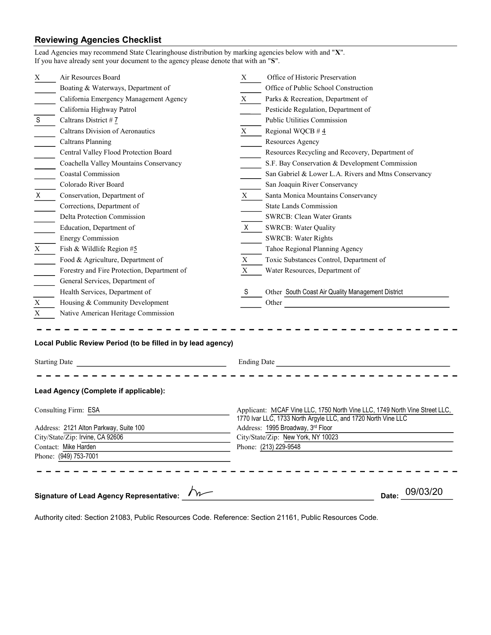## Reviewing Agencies Checklist

| X                                | If you have already sent your document to the agency please denote that with an "S". |   |                                                                                                                |  |  |
|----------------------------------|--------------------------------------------------------------------------------------|---|----------------------------------------------------------------------------------------------------------------|--|--|
|                                  | Air Resources Board                                                                  | X | Office of Historic Preservation                                                                                |  |  |
|                                  | Boating & Waterways, Department of                                                   |   | Office of Public School Construction                                                                           |  |  |
|                                  | California Emergency Management Agency                                               | X | Parks & Recreation, Department of                                                                              |  |  |
|                                  | California Highway Patrol                                                            |   | Pesticide Regulation, Department of                                                                            |  |  |
| S                                | Caltrans District # 7                                                                |   | Public Utilities Commission                                                                                    |  |  |
|                                  | Caltrans Division of Aeronautics                                                     | X | Regional WQCB # $\frac{4}{5}$                                                                                  |  |  |
| $\frac{1}{\sqrt{1-\frac{1}{2}}}$ | <b>Caltrans Planning</b>                                                             |   | Resources Agency                                                                                               |  |  |
|                                  | Central Valley Flood Protection Board                                                |   | Resources Recycling and Recovery, Department of                                                                |  |  |
|                                  | Coachella Valley Mountains Conservancy                                               |   | S.F. Bay Conservation & Development Commission                                                                 |  |  |
|                                  | <b>Coastal Commission</b>                                                            |   | San Gabriel & Lower L.A. Rivers and Mtns Conservancy                                                           |  |  |
|                                  | Colorado River Board                                                                 |   | San Joaquin River Conservancy                                                                                  |  |  |
| $\mathsf{X}$                     | Conservation, Department of                                                          | X | Santa Monica Mountains Conservancy                                                                             |  |  |
|                                  | Corrections, Department of                                                           |   | <b>State Lands Commission</b>                                                                                  |  |  |
|                                  | Delta Protection Commission                                                          |   | <b>SWRCB: Clean Water Grants</b>                                                                               |  |  |
|                                  | Education, Department of                                                             | X | <b>SWRCB: Water Quality</b>                                                                                    |  |  |
|                                  | <b>Energy Commission</b>                                                             |   | <b>SWRCB: Water Rights</b>                                                                                     |  |  |
| X                                | Fish & Wildlife Region #5                                                            |   | Tahoe Regional Planning Agency                                                                                 |  |  |
|                                  | Food & Agriculture, Department of                                                    | X | Toxic Substances Control, Department of                                                                        |  |  |
|                                  | Forestry and Fire Protection, Department of                                          | X | Water Resources, Department of                                                                                 |  |  |
|                                  | General Services, Department of                                                      |   |                                                                                                                |  |  |
|                                  | Health Services, Department of                                                       | S | Other South Coast Air Quality Management District                                                              |  |  |
| X                                | Housing & Community Development                                                      |   | Other Parameters Parameters and Parameters and Parameters and Parameters and Parameters and Parameters and Par |  |  |
| X                                | Native American Heritage Commission                                                  |   |                                                                                                                |  |  |
|                                  | Local Public Review Period (to be filled in by lead agency)                          |   |                                                                                                                |  |  |
| <b>Starting Date</b>             |                                                                                      |   |                                                                                                                |  |  |
|                                  | Lead Agency (Complete if applicable):                                                |   |                                                                                                                |  |  |
|                                  | Consulting Firm: ESA                                                                 |   | Applicant: MCAF Vine LLC, 1750 North Vine LLC, 1749 North Vine Street LLC,                                     |  |  |
|                                  |                                                                                      |   | 1770 Ivar LLC, 1733 North Argyle LLC, and 1720 North Vine LLC                                                  |  |  |
|                                  |                                                                                      |   | Address: 1995 Broadway, 3rd Floor                                                                              |  |  |
|                                  | Address: 2121 Alton Parkway, Suite 100                                               |   |                                                                                                                |  |  |
|                                  | City/State/Zip: Irvine, CA 92606                                                     |   | City/State/Zip: New York, NY 10023                                                                             |  |  |
|                                  | Contact: Mike Harden                                                                 |   | Phone: (213) 229-9548                                                                                          |  |  |
|                                  | Phone: (949) 753-7001                                                                |   |                                                                                                                |  |  |

Authority cited: Section 21083, Public Resources Code. Reference: Section 21161, Public Resources Code.